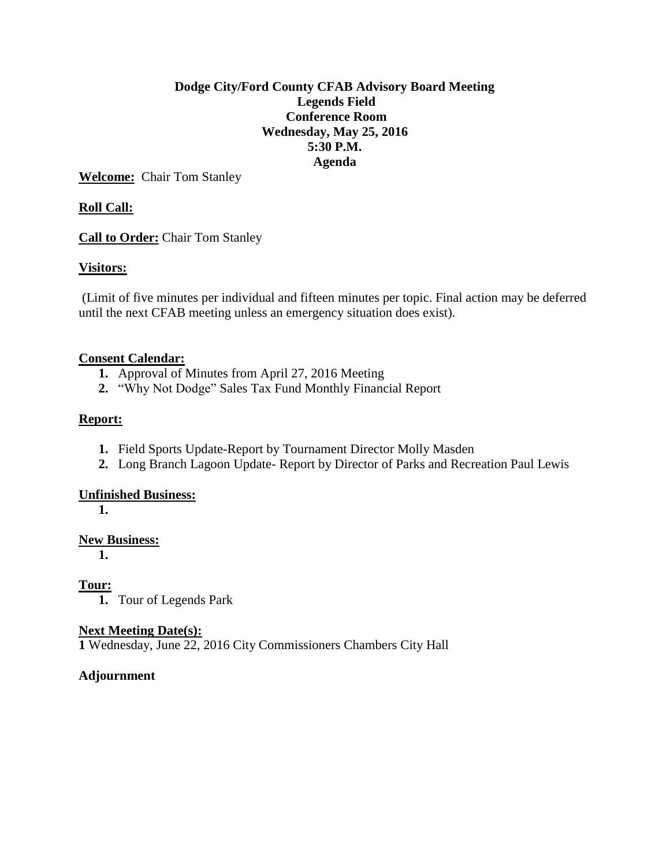## **Dodge City/Ford County CFAB Advisory Board Meeting Legends Field Conference Room Wednesday, May 25, 2016 5:30 P.M. Agenda**

**Welcome:** Chair Tom Stanley

# **Roll Call:**

**Call to Order:** Chair Tom Stanley

# **Visitors:**

(Limit of five minutes per individual and fifteen minutes per topic. Final action may be deferred until the next CFAB meeting unless an emergency situation does exist).

### **Consent Calendar:**

- **1.** Approval of Minutes from April 27, 2016 Meeting
- **2.** "Why Not Dodge" Sales Tax Fund Monthly Financial Report

## **Report:**

- **1.** Field Sports Update-Report by Tournament Director Molly Masden
- **2.** Long Branch Lagoon Update- Report by Director of Parks and Recreation Paul Lewis

### **Unfinished Business:**

**1.**

### **New Business:**

**1.**

# **Tour:**

**1.** Tour of Legends Park

### **Next Meeting Date(s):**

**1** Wednesday, June 22, 2016 City Commissioners Chambers City Hall

# **Adjournment**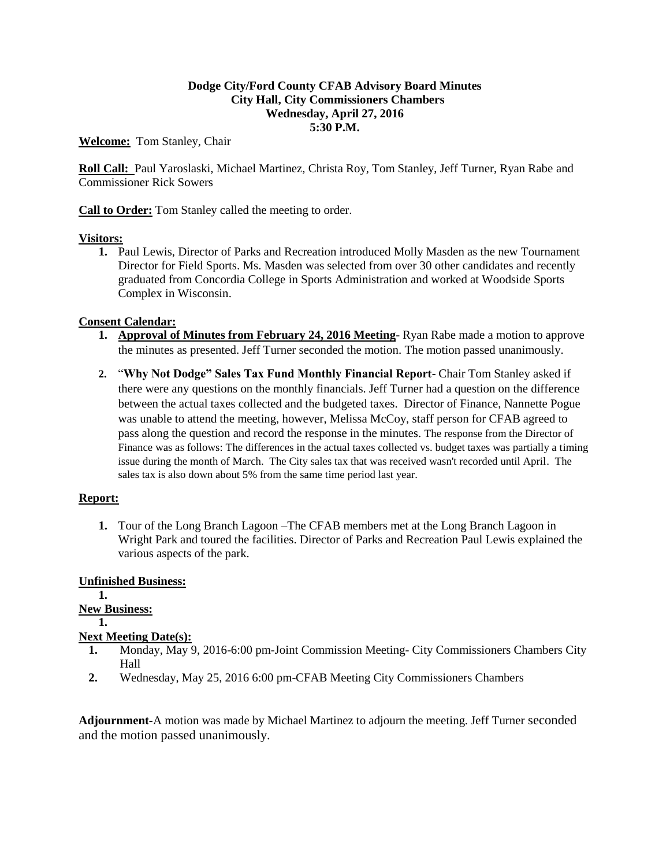### **Dodge City/Ford County CFAB Advisory Board Minutes City Hall, City Commissioners Chambers Wednesday, April 27, 2016 5:30 P.M.**

**Welcome:** Tom Stanley, Chair

**Roll Call:** Paul Yaroslaski, Michael Martinez, Christa Roy, Tom Stanley, Jeff Turner, Ryan Rabe and Commissioner Rick Sowers

**Call to Order:** Tom Stanley called the meeting to order.

### **Visitors:**

**1.** Paul Lewis, Director of Parks and Recreation introduced Molly Masden as the new Tournament Director for Field Sports. Ms. Masden was selected from over 30 other candidates and recently graduated from Concordia College in Sports Administration and worked at Woodside Sports Complex in Wisconsin.

### **Consent Calendar:**

- **1. Approval of Minutes from February 24, 2016 Meeting** Ryan Rabe made a motion to approve the minutes as presented. Jeff Turner seconded the motion. The motion passed unanimously.
- **2.** "**Why Not Dodge" Sales Tax Fund Monthly Financial Report-** Chair Tom Stanley asked if there were any questions on the monthly financials. Jeff Turner had a question on the difference between the actual taxes collected and the budgeted taxes. Director of Finance, Nannette Pogue was unable to attend the meeting, however, Melissa McCoy, staff person for CFAB agreed to pass along the question and record the response in the minutes. The response from the Director of Finance was as follows: The differences in the actual taxes collected vs. budget taxes was partially a timing issue during the month of March. The City sales tax that was received wasn't recorded until April. The sales tax is also down about 5% from the same time period last year.

### **Report:**

**1.** Tour of the Long Branch Lagoon –The CFAB members met at the Long Branch Lagoon in Wright Park and toured the facilities. Director of Parks and Recreation Paul Lewis explained the various aspects of the park.

### **Unfinished Business:**

**1. New Business: 1. Next Meeting Date(s):**

- **1.** Monday, May 9, 2016-6:00 pm-Joint Commission Meeting- City Commissioners Chambers City Hall
- **2.** Wednesday, May 25, 2016 6:00 pm-CFAB Meeting City Commissioners Chambers

**Adjournment-**A motion was made by Michael Martinez to adjourn the meeting. Jeff Turner seconded and the motion passed unanimously.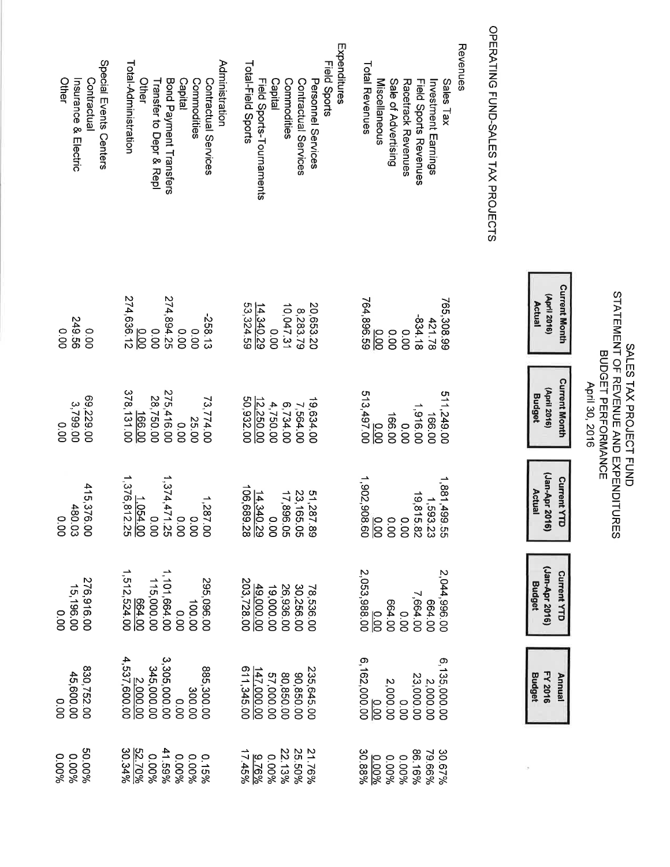# SALES TAX PROJECT FUND<br>STATEMENT OF REVENUE AND EXPENDITURES<br>BUDGET PERFORMANCE<br>April 30, 2016

| (April 2016)<br>(April 2016<br><b>Budge</b><br><b>Current YTI</b><br>Jan-Apr 2016 | Jan-Apr 2016<br><b>Current YTI</b><br>Budget |
|-----------------------------------------------------------------------------------|----------------------------------------------|
|-----------------------------------------------------------------------------------|----------------------------------------------|

 $\frac{1}{2}$ 

# OPERATING FUND-SALES TAX PROJECTS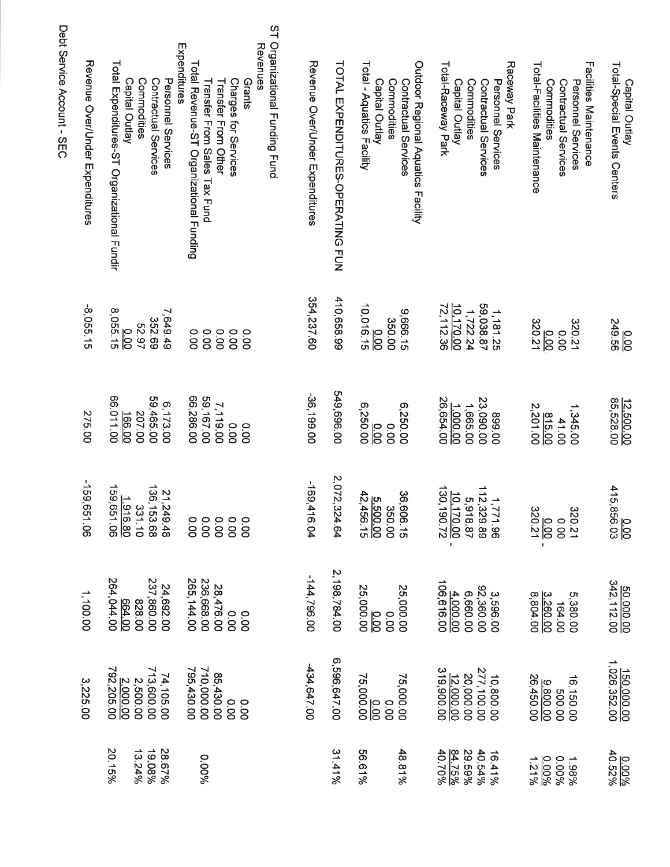| Total-Special Events Centers<br>Capital Outlay                                      | 0.00<br>249.56         | 12.500.00<br>85,528.00      | 0.00<br>415,856.03                        | $\frac{50,000.00}{342,112.00}$            | 150,000.00<br>1,026,352.00                   | 0.00%               |
|-------------------------------------------------------------------------------------|------------------------|-----------------------------|-------------------------------------------|-------------------------------------------|----------------------------------------------|---------------------|
| Facilities Maintenance<br>Commodities<br>Contractual Services<br>Personnel Services | 320.21<br>0.00         | 1,345.00<br>815.00<br>41.00 | 320.21                                    | 5,380.00<br>164.00                        | 500.00<br>9.800.00<br>26,450.00<br>16,150.00 | 1.98%<br>%          |
| Total-Facilities Maintenance                                                        | $\frac{0.00}{320.21}$  | 2,201.00                    | $\frac{0.00}{320.21}$ .                   | 3,260.00                                  |                                              | 1.21%               |
| Raceway Park<br>Personnel Services<br>Contractual Services                          | 59,038.87<br>1,181.25  | 00'668                      |                                           | 3,596.00<br>92,360.00                     | 10,800.00                                    | 16.41%              |
| Commodities                                                                         | 1,722.24               | 23,090.00<br>1,665.00       | $1,771.96$<br>112,329.89<br>5,918.87      | 6,660.00                                  | 277,100.00<br>20,000.00                      | 29.59%<br>40.54%    |
| Total-Raceway Park<br>Capital Outlay                                                | 10,170.00<br>72,112.36 | 26,654.00<br>1.000.00       | $\frac{10.170.00}{130,190.72}$            | 106,616.00<br>4,000.00                    | 319,900.00<br>12.000.00                      | $84.75\%$<br>40.70% |
| Outdoor Regional Aquatics Facility<br>Contractual Services                          | 9,666.15               | 6,250.00                    |                                           | 25,000.00                                 | 75,000.00                                    | 48.81%              |
| Capital Outlay<br>Commodities                                                       | 10,016.15<br>350.00    | 00.00<br>$\overline{50}$    | $\frac{5.500.00}{42,456.15}$<br>36,606.15 | $\overline{\overline{\text{ss}}}$<br>0.00 | $\frac{10}{10}$<br>00.0                      |                     |
| Total - Aquatics Facility                                                           |                        | 6,250.00                    |                                           | 25,000.00                                 | 75,000.00                                    | 96.61%              |
| TOTAL EXPENDITURES-OPERATING FUN                                                    | 410,658.99             | 549,696.00                  | 2,072,324.64                              | 2,198,784.00                              | 6,596,647.00                                 | 31.41%              |
| Revenue Over/Under Expenditures                                                     | 354,237.60             | -36,199.00                  | $-169,4$<br>16.04                         | $-144,796.00$                             | 434,647.00                                   |                     |
| ST Organizational Funding Fund<br>Revenues                                          |                        |                             |                                           |                                           |                                              |                     |
| Grants                                                                              | 00.0                   | 00.0                        |                                           | 00.00                                     | 000                                          |                     |
| Charges for Services                                                                | 0.00                   | 00.0                        |                                           | 0.00                                      | 0.00                                         |                     |
| Transfer From Other                                                                 | 00.00                  | 7,119.00                    |                                           | 28,476.00                                 | 85,430.00                                    |                     |
| Total Revenue-ST Organizational Funding<br>Transfer From Sales Tax Fund             | 0.00<br>0.00           | 66,286.00<br>59,167.00      | 000000<br>0000000                         | 265,144.00<br>236,668.00                  | 710,000.00<br>795,430.00                     | 9600'0              |
| Expenditures                                                                        |                        |                             |                                           |                                           |                                              |                     |
| Personnel Services                                                                  | 7,649.49               | 6,173.00                    |                                           | 24,692.00                                 | 74,105.00                                    | 28.67%              |
| Contractual Services                                                                | 352.69                 | 59,465.00                   | 21,249.48<br>136,153.68                   | 237,860.00                                | 713,600.00                                   | 19.08%              |
| Commodities                                                                         | 52.97                  | 207.00                      | بب<br>31.10                               | 828.00                                    | 2,500.00                                     | 13.24%              |
| Capital Outlay                                                                      | $\overline{00}$        | 166.00                      | 1.916.80<br>159,651.06                    | 00'799                                    | <u>2.000.00</u>                              |                     |
| Total Expenditures-ST Organizational Fundir                                         | 8,055.15               | 66,011.00                   |                                           | 264,044.00                                | 792,205.00                                   | 20.15%              |
| Revenue Over/Under Expenditures                                                     | -8,055.15              | 275.00                      | -159,69.<br>51.06                         | 1,100.00                                  | 3,225.00                                     |                     |
| Debt Service Account - SEC                                                          |                        |                             |                                           |                                           |                                              |                     |
|                                                                                     |                        |                             |                                           |                                           |                                              |                     |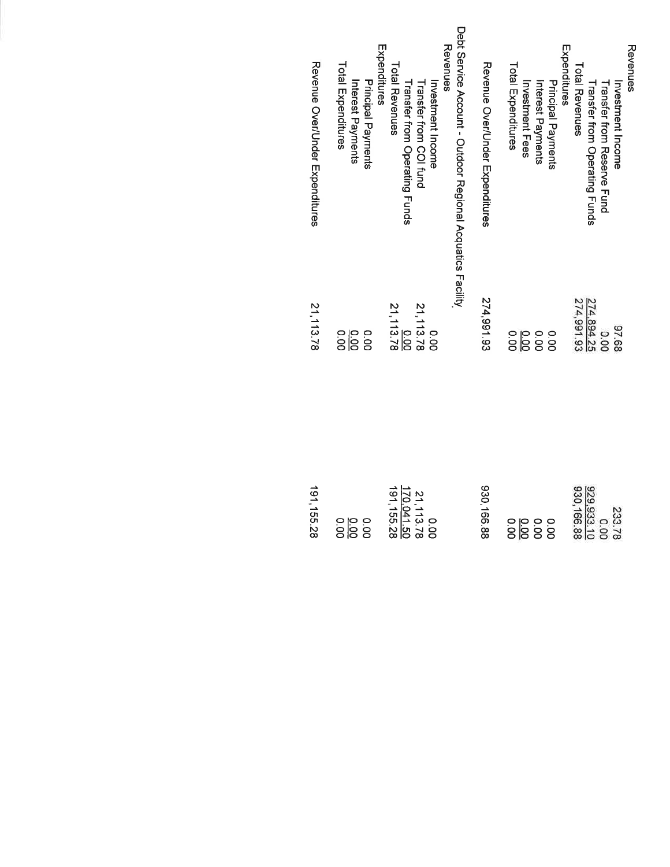| Revenue Over/Under mxpenditures | Total Expenditures<br>Principal Payments<br>Interest Payments | Debt Service Account - Outdoor Regional Acquatics Facility<br><b>Revenues</b><br>Expenditures<br>Total Revenues<br>Investment Income<br>Transfer from COI fund<br>Transfer from Operating Funds | Revenue Over/Under Expenditures | Expenditures<br>Total Expenditures<br>Principal Payments<br>Investment Fees<br>Interest Payments | Revenues<br>Total Revenues<br>Investment<br>Investment<br>Transfer from Operating Funds<br><b>Transfer from Reserve Fund</b> |
|---------------------------------|---------------------------------------------------------------|-------------------------------------------------------------------------------------------------------------------------------------------------------------------------------------------------|---------------------------------|--------------------------------------------------------------------------------------------------|------------------------------------------------------------------------------------------------------------------------------|
| 21, 113.78                      | $rac{1}{20}$                                                  | $\frac{0.00}{21,113.78}$<br>21,113.78<br>0.00                                                                                                                                                   | 274,991.93                      |                                                                                                  | 274,991.93<br>274,894.25<br>87.68<br>0.00                                                                                    |
| 191, 155.28                     |                                                               | 191, 155.28<br>170,041.50<br>21, 113.78<br>00.00                                                                                                                                                | 930,166.88                      | 0.00                                                                                             | 930, 166.88<br>929.933.10<br>233.78<br>0.00                                                                                  |